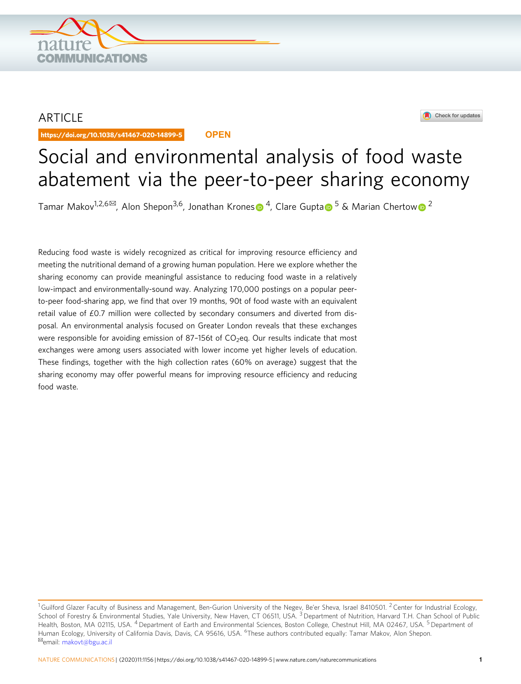## ARTICLE

https://doi.org/10.1038/s41467-020-14899-5 **OPEN**

**OMMUNICATIONS** 



# Social and environmental analysis of food waste abatement via the peer-to-peer sharing economy

Tamar Makov<[s](http://orcid.org/0000-0003-3215-834X)up>1,[2](http://orcid.org/0000-0003-4176-6224),6 $\approx$  $\approx$  $\approx$ , Alon Shepon<sup>3,6</sup>, Jonathan Krones  $\bullet$  <sup>[4](http://orcid.org/0000-0003-3215-834X)</sup>, Clare Gupta  $\bullet$  <sup>[5](http://orcid.org/0000-0002-9931-9163)</sup> & Marian Cherto[w](http://orcid.org/0000-0003-4176-6224)  $\bullet$  <sup>2</sup></sup>

Reducing food waste is widely recognized as critical for improving resource efficiency and meeting the nutritional demand of a growing human population. Here we explore whether the sharing economy can provide meaningful assistance to reducing food waste in a relatively low-impact and environmentally-sound way. Analyzing 170,000 postings on a popular peerto-peer food-sharing app, we find that over 19 months, 90t of food waste with an equivalent retail value of £0.7 million were collected by secondary consumers and diverted from disposal. An environmental analysis focused on Greater London reveals that these exchanges were responsible for avoiding emission of 87-156t of  $CO<sub>2</sub>$ eq. Our results indicate that most exchanges were among users associated with lower income yet higher levels of education. These findings, together with the high collection rates (60% on average) suggest that the sharing economy may offer powerful means for improving resource efficiency and reducing food waste.

 $^1$ Guilford Glazer Faculty of Business and Management, Ben-Gurion University of the Negev, Be'er Sheva, Israel 8410501. <sup>2</sup> Center for Industrial Ecology, School of Forestry & Environmental Studies, Yale University, New Haven, CT 06511, USA. <sup>3</sup> Department of Nutrition, Harvard T.H. Chan School of Public Health, Boston, MA 02115, USA. <sup>4</sup> Department of Earth and Environmental Sciences, Boston College, Chestnut Hill, MA 02467, USA. <sup>5</sup> Department of Human Ecology, University of California Davis, Davis, CA 95616, USA. <sup>6</sup>These authors contributed equally: Tamar Makov, Alon Shepon.<br><sup>⊠</sup>email: [makovt@bgu.ac.il](mailto:makovt@bgu.ac.il)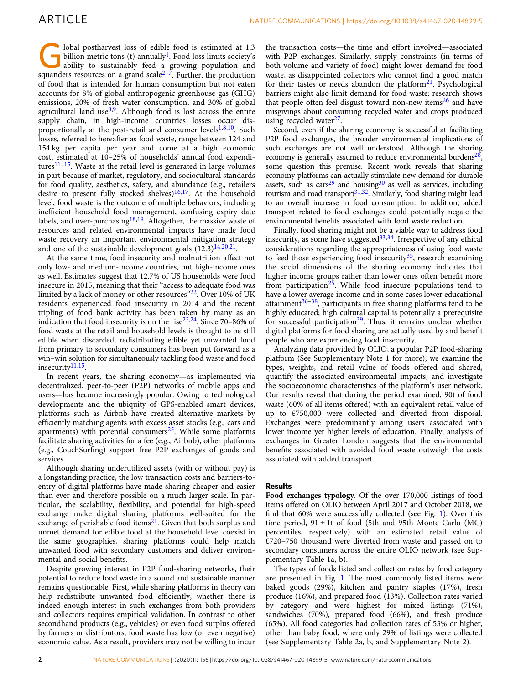Iobal postharvest loss of edible food is estimated at 1.3<br>billion metric tons (t) annually<sup>1</sup>. Food loss limits society's<br>ability to sustainably feed a growing population and billion metric tons (t) annually<sup>[1](#page-6-0)</sup>. Food loss limits society's squanders resources on a grand scale<sup>[2](#page-6-0)–[7](#page-6-0)</sup>. Further, the production of food that is intended for human consumption but not eaten accounts for 8% of global anthropogenic greenhouse gas (GHG) emissions, 20% of fresh water consumption, and 30% of global agricultural land use<sup>8,9</sup>. Although food is lost across the entire supply chain, in high-income countries losses occur disproportionally at the post-retail and consumer levels $1,8,10$  $1,8,10$ . Such losses, referred to hereafter as food waste, range between 124 and 154 kg per capita per year and come at a high economic cost, estimated at 10–25% of households' annual food expenditures $11-15$ . Waste at the retail level is generated in large volumes in part because of market, regulatory, and sociocultural standards for food quality, aesthetics, safety, and abundance (e.g., retailers desire to present fully stocked shelves)<sup>[16,17](#page-6-0)</sup>. At the household level, food waste is the outcome of multiple behaviors, including inefficient household food management, confusing expiry date labels, and over-purchasing $18,19$  $18,19$  $18,19$ . Altogether, the massive waste of resources and related environmental impacts have made food waste recovery an important environmental mitigation strategy and one of the sustainable development goals  $(12.3)$ <sup>14,20,21</sup>.

At the same time, food insecurity and malnutrition affect not only low- and medium-income countries, but high-income ones as well. Estimates suggest that 12.7% of US households were food insecure in 2015, meaning that their "access to adequate food was limited by a lack of money or other resources"[22.](#page-6-0) Over 10% of UK residents experienced food insecurity in 2014 and the recent tripling of food bank activity has been taken by many as an indication that food insecurity is on the rise $23,24$ . Since 70–86% of food waste at the retail and household levels is thought to be still edible when discarded, redistributing edible yet unwanted food from primary to secondary consumers has been put forward as a win–win solution for simultaneously tackling food waste and food insecurity<sup>11,15</sup>.

In recent years, the sharing economy—as implemented via decentralized, peer-to-peer (P2P) networks of mobile apps and users—has become increasingly popular. Owing to technological developments and the ubiquity of GPS-enabled smart devices, platforms such as Airbnb have created alternative markets by efficiently matching agents with excess asset stocks (e.g., cars and apartments) with potential consumers $25$ . While some platforms facilitate sharing activities for a fee (e.g., Airbnb), other platforms (e.g., CouchSurfing) support free P2P exchanges of goods and services.

Although sharing underutilized assets (with or without pay) is a longstanding practice, the low transaction costs and barriers-toentry of digital platforms have made sharing cheaper and easier than ever and therefore possible on a much larger scale. In particular, the scalability, flexibility, and potential for high-speed exchange make digital sharing platforms well-suited for the exchange of perishable food items<sup>21</sup>. Given that both surplus and unmet demand for edible food at the household level coexist in the same geographies, sharing platforms could help match unwanted food with secondary customers and deliver environmental and social benefits.

Despite growing interest in P2P food-sharing networks, their potential to reduce food waste in a sound and sustainable manner remains questionable. First, while sharing platforms in theory can help redistribute unwanted food efficiently, whether there is indeed enough interest in such exchanges from both providers and collectors requires empirical validation. In contrast to other secondhand products (e.g., vehicles) or even food surplus offered by farmers or distributors, food waste has low (or even negative) economic value. As a result, providers may not be willing to incur

the transaction costs—the time and effort involved—associated with P2P exchanges. Similarly, supply constraints (in terms of both volume and variety of food) might lower demand for food waste, as disappointed collectors who cannot find a good match for their tastes or needs abandon the platform $2<sup>1</sup>$ . Psychological barriers might also limit demand for food waste: research shows that people often feel disgust toward non-new items<sup>[26](#page-6-0)</sup> and have misgivings about consuming recycled water and crops produced using recycled water $27$ .

Second, even if the sharing economy is successful at facilitating P2P food exchanges, the broader environmental implications of such exchanges are not well understood. Although the sharing economy is generally assumed to reduce environmental burdens<sup>28</sup>, some question this premise. Recent work reveals that sharing economy platforms can actually stimulate new demand for durable assets, such as  $cars<sup>29</sup>$  $cars<sup>29</sup>$  $cars<sup>29</sup>$  and housing<sup>[30](#page-6-0)</sup> as well as services, including tourism and road transport $31,32$ . Similarly, food sharing might lead to an overall increase in food consumption. In addition, added transport related to food exchanges could potentially negate the environmental benefits associated with food waste reduction.

Finally, food sharing might not be a viable way to address food insecurity, as some have suggested $33,34$ . Irrespective of any ethical considerations regarding the appropriateness of using food waste to feed those experiencing food insecurity<sup>[35](#page-7-0)</sup>, research examining the social dimensions of the sharing economy indicates that higher income groups rather than lower ones often benefit more from participation $2\overline{5}$ . While food insecure populations tend to have a lower average income and in some cases lower educational attainment $36-38$  $36-38$  $36-38$ , participants in free sharing platforms tend to be highly educated; high cultural capital is potentially a prerequisite for successful participation<sup>[39](#page-7-0)</sup>. Thus, it remains unclear whether digital platforms for food sharing are actually used by and benefit people who are experiencing food insecurity.

Analyzing data provided by OLIO, a popular P2P food-sharing platform (See Supplementary Note 1 for more), we examine the types, weights, and retail value of foods offered and shared, quantify the associated environmental impacts, and investigate the socioeconomic characteristics of the platform's user network. Our results reveal that during the period examined, 90t of food waste (60% of all items offered) with an equivalent retail value of up to £750,000 were collected and diverted from disposal. Exchanges were predominantly among users associated with lower income yet higher levels of education. Finally, analysis of exchanges in Greater London suggests that the environmental benefits associated with avoided food waste outweigh the costs associated with added transport.

### Results

Food exchanges typology. Of the over 170,000 listings of food items offered on OLIO between April 2017 and October 2018, we find that 60% were successfully collected (see Fig. [1](#page-2-0)). Over this time period,  $91 \pm 1$ t of food (5th and 95th Monte Carlo (MC) percentiles, respectively) with an estimated retail value of £720–750 thousand were diverted from waste and passed on to secondary consumers across the entire OLIO network (see Supplementary Table 1a, b).

The types of foods listed and collection rates by food category are presented in Fig. [1.](#page-2-0) The most commonly listed items were baked goods (29%), kitchen and pantry staples (17%), fresh produce (16%), and prepared food (13%). Collection rates varied by category and were highest for mixed listings (71%), sandwiches (70%), prepared food (66%), and fresh produce (65%). All food categories had collection rates of 53% or higher, other than baby food, where only 29% of listings were collected (see Supplementary Table 2a, b, and Supplementary Note 2).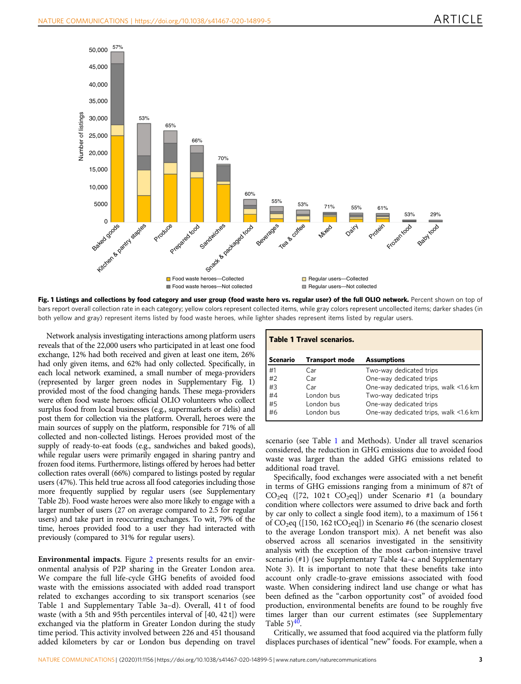<span id="page-2-0"></span>

Fig. 1 Listings and collections by food category and user group (food waste hero vs. regular user) of the full OLIO network. Percent shown on top of bars report overall collection rate in each category; yellow colors represent collected items, while gray colors represent uncollected items; darker shades (in both yellow and gray) represent items listed by food waste heroes, while lighter shades represent items listed by regular users.

Network analysis investigating interactions among platform users reveals that of the 22,000 users who participated in at least one food exchange, 12% had both received and given at least one item, 26% had only given items, and 62% had only collected. Specifically, in each local network examined, a small number of mega-providers (represented by larger green nodes in Supplementary Fig. 1) provided most of the food changing hands. These mega-providers were often food waste heroes: official OLIO volunteers who collect surplus food from local businesses (e.g., supermarkets or delis) and post them for collection via the platform. Overall, heroes were the main sources of supply on the platform, responsible for 71% of all collected and non-collected listings. Heroes provided most of the supply of ready-to-eat foods (e.g., sandwiches and baked goods), while regular users were primarily engaged in sharing pantry and frozen food items. Furthermore, listings offered by heroes had better collection rates overall (66%) compared to listings posted by regular users (47%). This held true across all food categories including those more frequently supplied by regular users (see Supplementary Table 2b). Food waste heroes were also more likely to engage with a larger number of users (27 on average compared to 2.5 for regular users) and take part in reoccurring exchanges. To wit, 79% of the time, heroes provided food to a user they had interacted with previously (compared to 31% for regular users).

Environmental impacts. Figure [2](#page-3-0) presents results for an environmental analysis of P2P sharing in the Greater London area. We compare the full life-cycle GHG benefits of avoided food waste with the emissions associated with added road transport related to exchanges according to six transport scenarios (see Table 1 and Supplementary Table 3a–d). Overall, 41 t of food waste (with a 5th and 95th percentiles interval of [40, 42 t]) were exchanged via the platform in Greater London during the study time period. This activity involved between 226 and 451 thousand added kilometers by car or London bus depending on travel

| <b>Table 1 Travel scenarios.</b> |                       |                                       |
|----------------------------------|-----------------------|---------------------------------------|
| <b>Scenario</b>                  | <b>Transport mode</b> | <b>Assumptions</b>                    |
| #1                               | Car                   | Two-way dedicated trips               |
| #2                               | Car                   | One-way dedicated trips               |
| #3                               | Car                   | One-way dedicated trips, walk <1.6 km |
| #4                               | London bus            | Two-way dedicated trips               |
| #5                               | London bus            | One-way dedicated trips               |
| #6                               | London bus            | One-way dedicated trips, walk <1.6 km |

scenario (see Table 1 and Methods). Under all travel scenarios considered, the reduction in GHG emissions due to avoided food waste was larger than the added GHG emissions related to additional road travel.

Specifically, food exchanges were associated with a net benefit in terms of GHG emissions ranging from a minimum of 87t of  $CO<sub>2</sub>$ eq ([72, 102 t  $CO<sub>2</sub>$ eq]) under Scenario #1 (a boundary condition where collectors were assumed to drive back and forth by car only to collect a single food item), to a maximum of 156 t of  $CO_2$ eq ([150, 162 t $CO_2$ eq]) in Scenario #6 (the scenario closest to the average London transport mix). A net benefit was also observed across all scenarios investigated in the sensitivity analysis with the exception of the most carbon-intensive travel scenario (#1) (see Supplementary Table 4a–c and Supplementary Note 3). It is important to note that these benefits take into account only cradle-to-grave emissions associated with food waste. When considering indirect land use change or what has been defined as the "carbon opportunity cost" of avoided food production, environmental benefits are found to be roughly five times larger than our current estimates (see Supplementary Table  $5)$ <sup>40</sup>.

Critically, we assumed that food acquired via the platform fully displaces purchases of identical "new" foods. For example, when a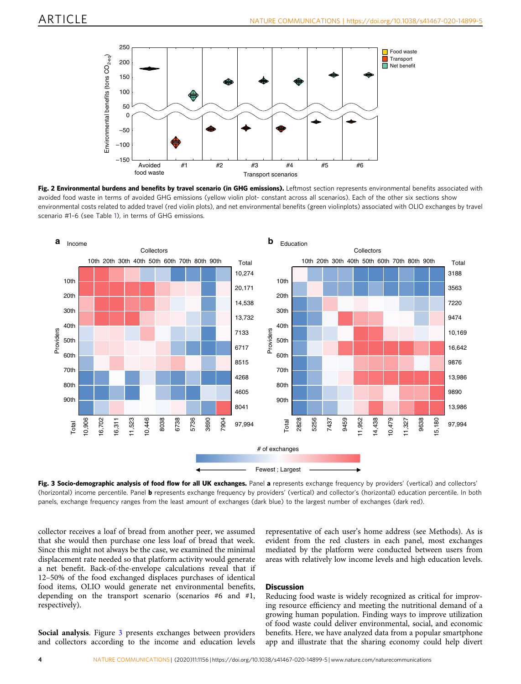<span id="page-3-0"></span>





Fig. 3 Socio-demographic analysis of food flow for all UK exchanges. Panel a represents exchange frequency by providers' (vertical) and collectors' (horizontal) income percentile. Panel **b** represents exchange frequency by providers' (vertical) and collector's (horizontal) education percentile. In both panels, exchange frequency ranges from the least amount of exchanges (dark blue) to the largest number of exchanges (dark red).

collector receives a loaf of bread from another peer, we assumed that she would then purchase one less loaf of bread that week. Since this might not always be the case, we examined the minimal displacement rate needed so that platform activity would generate a net benefit. Back-of-the-envelope calculations reveal that if 12–50% of the food exchanged displaces purchases of identical food items, OLIO would generate net environmental benefits, depending on the transport scenario (scenarios #6 and #1, respectively).

Social analysis. Figure 3 presents exchanges between providers and collectors according to the income and education levels representative of each user's home address (see Methods). As is evident from the red clusters in each panel, most exchanges mediated by the platform were conducted between users from areas with relatively low income levels and high education levels.

### **Discussion**

Reducing food waste is widely recognized as critical for improving resource efficiency and meeting the nutritional demand of a growing human population. Finding ways to improve utilization of food waste could deliver environmental, social, and economic benefits. Here, we have analyzed data from a popular smartphone app and illustrate that the sharing economy could help divert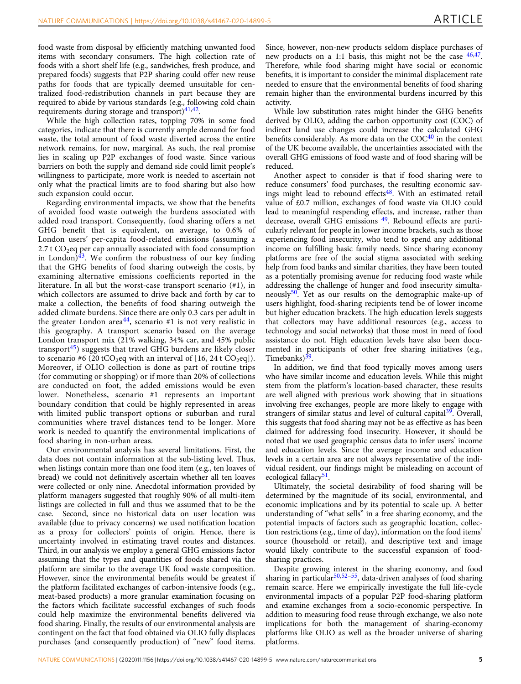food waste from disposal by efficiently matching unwanted food items with secondary consumers. The high collection rate of foods with a short shelf life (e.g., sandwiches, fresh produce, and prepared foods) suggests that P2P sharing could offer new reuse paths for foods that are typically deemed unsuitable for centralized food-redistribution channels in part because they are required to abide by various standards (e.g., following cold chain requirements during storage and transport) $41,42$  $41,42$ .

While the high collection rates, topping 70% in some food categories, indicate that there is currently ample demand for food waste, the total amount of food waste diverted across the entire network remains, for now, marginal. As such, the real promise lies in scaling up P2P exchanges of food waste. Since various barriers on both the supply and demand side could limit people's willingness to participate, more work is needed to ascertain not only what the practical limits are to food sharing but also how such expansion could occur.

Regarding environmental impacts, we show that the benefits of avoided food waste outweigh the burdens associated with added road transport. Consequently, food sharing offers a net GHG benefit that is equivalent, on average, to 0.6% of London users' per-capita food-related emissions (assuming a 2.7 t  $CO<sub>2</sub>$ eq per cap annually associated with food consumption in London) $\frac{43}{3}$ . We confirm the robustness of our key finding that the GHG benefits of food sharing outweigh the costs, by examining alternative emissions coefficients reported in the literature. In all but the worst-case transport scenario (#1), in which collectors are assumed to drive back and forth by car to make a collection, the benefits of food sharing outweigh the added climate burdens. Since there are only 0.3 cars per adult in the greater London area<sup>[44](#page-7-0)</sup>, scenario #1 is not very realistic in this geography. A transport scenario based on the average London transport mix (21% walking, 34% car, and 45% public transport<sup>[45](#page-7-0)</sup>) suggests that travel GHG burdens are likely closer to scenario #6 (20 tCO<sub>2</sub>eq with an interval of  $[16, 24$  t CO<sub>2</sub>eq]). Moreover, if OLIO collection is done as part of routine trips (for commuting or shopping) or if more than 20% of collections are conducted on foot, the added emissions would be even lower. Nonetheless, scenario #1 represents an important boundary condition that could be highly represented in areas with limited public transport options or suburban and rural communities where travel distances tend to be longer. More work is needed to quantify the environmental implications of food sharing in non-urban areas.

Our environmental analysis has several limitations. First, the data does not contain information at the sub-listing level. Thus, when listings contain more than one food item (e.g., ten loaves of bread) we could not definitively ascertain whether all ten loaves were collected or only nine. Anecdotal information provided by platform managers suggested that roughly 90% of all multi-item listings are collected in full and thus we assumed that to be the case. Second, since no historical data on user location was available (due to privacy concerns) we used notification location as a proxy for collectors' points of origin. Hence, there is uncertainty involved in estimating travel routes and distances. Third, in our analysis we employ a general GHG emissions factor assuming that the types and quantities of foods shared via the platform are similar to the average UK food waste composition. However, since the environmental benefits would be greatest if the platform facilitated exchanges of carbon-intensive foods (e.g., meat-based products) a more granular examination focusing on the factors which facilitate successful exchanges of such foods could help maximize the environmental benefits delivered via food sharing. Finally, the results of our environmental analysis are contingent on the fact that food obtained via OLIO fully displaces purchases (and consequently production) of "new" food items.

Since, however, non-new products seldom displace purchases of new products on a 1:1 basis, this might not be the case  $46,47$ . Therefore, while food sharing might have social or economic benefits, it is important to consider the minimal displacement rate needed to ensure that the environmental benefits of food sharing remain higher than the environmental burdens incurred by this activity.

While low substitution rates might hinder the GHG benefits derived by OLIO, adding the carbon opportunity cost (COC) of indirect land use changes could increase the calculated GHG benefits considerably. As more data on the  $COC<sup>40</sup>$  $COC<sup>40</sup>$  $COC<sup>40</sup>$  in the context of the UK become available, the uncertainties associated with the overall GHG emissions of food waste and of food sharing will be reduced.

Another aspect to consider is that if food sharing were to reduce consumers' food purchases, the resulting economic sav-ings might lead to rebound effects<sup>[48](#page-7-0)</sup>. With an estimated retail value of £0.7 million, exchanges of food waste via OLIO could lead to meaningful respending effects, and increase, rather than decrease, overall GHG emissions <sup>[49](#page-7-0)</sup>. Rebound effects are particularly relevant for people in lower income brackets, such as those experiencing food insecurity, who tend to spend any additional income on fulfilling basic family needs. Since sharing economy platforms are free of the social stigma associated with seeking help from food banks and similar charities, they have been touted as a potentially promising avenue for reducing food waste while addressing the challenge of hunger and food insecurity simultaneously $50$ . Yet as our results on the demographic make-up of users highlight, food-sharing recipients tend be of lower income but higher education brackets. The high education levels suggests that collectors may have additional resources (e.g., access to technology and social networks) that those most in need of food assistance do not. High education levels have also been documented in participants of other free sharing initiatives (e.g., Timebanks)<sup>[39](#page-7-0)</sup>.

In addition, we find that food typically moves among users who have similar income and education levels. While this might stem from the platform's location-based character, these results are well aligned with previous work showing that in situations involving free exchanges, people are more likely to engage with strangers of similar status and level of cultural capital $39$ . Overall, this suggests that food sharing may not be as effective as has been claimed for addressing food insecurity. However, it should be noted that we used geographic census data to infer users' income and education levels. Since the average income and education levels in a certain area are not always representative of the individual resident, our findings might be misleading on account of ecological fallacy<sup>[51](#page-7-0)</sup>.

Ultimately, the societal desirability of food sharing will be determined by the magnitude of its social, environmental, and economic implications and by its potential to scale up. A better understanding of "what sells" in a free sharing economy, and the potential impacts of factors such as geographic location, collection restrictions (e.g., time of day), information on the food items' source (household or retail), and descriptive text and image would likely contribute to the successful expansion of foodsharing practices.

Despite growing interest in the sharing economy, and food sharing in particular<sup>50,52-55</sup>, data-driven analyses of food sharing remain scarce. Here we empirically investigate the full life-cycle environmental impacts of a popular P2P food-sharing platform and examine exchanges from a socio-economic perspective. In addition to measuring food reuse through exchange, we also note implications for both the management of sharing-economy platforms like OLIO as well as the broader universe of sharing platforms.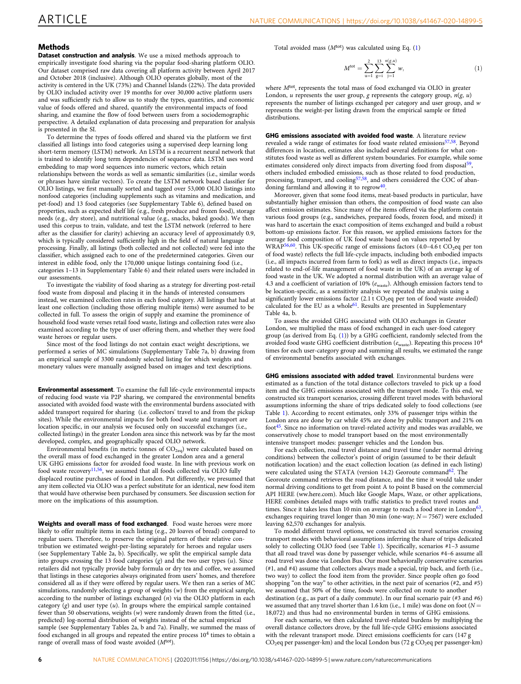#### **Methods**

Dataset construction and analysis. We use a mixed methods approach to empirically investigate food sharing via the popular food-sharing platform OLIO. Our dataset comprised raw data covering all platform activity between April 2017 and October 2018 (inclusive). Although OLIO operates globally, most of the activity is centered in the UK (73%) and Channel Islands (22%). The data provided by OLIO included activity over 19 months for over 30,000 active platform users and was sufficiently rich to allow us to study the types, quantities, and economic value of foods offered and shared, quantify the environmental impacts of food sharing, and examine the flow of food between users from a sociodemographic perspective. A detailed explanation of data processing and preparation for analysis is presented in the SI.

To determine the types of foods offered and shared via the platform we first classified all listings into food categories using a supervised deep learning long short-term memory (LSTM) network. An LSTM is a recurrent neural network that is trained to identify long term dependencies of sequence data. LSTM uses word embedding to map word sequences into numeric vectors, which retain relationships between the words as well as semantic similarities (i.e., similar words or phrases have similar vectors). To create the LSTM network based classifier for OLIO listings, we first manually sorted and tagged over 53,000 OLIO listings into nonfood categories (including supplements such as vitamins and medication, and pet-food) and 13 food categories (see Supplementary Table 6), defined based on properties, such as expected shelf life (e.g., fresh produce and frozen food), storage needs (e.g., dry store), and nutritional value (e.g., snacks, baked goods). We then used this corpus to train, validate, and test the LSTM network (referred to here after as the classifier for clarity) achieving an accuracy level of approximately 0.9, which is typically considered sufficiently high in the field of natural language processing. Finally, all listings (both collected and not collected) were fed into the classifier, which assigned each to one of the predetermined categories. Given our interest in edible food, only the 170,000 unique listings containing food (i.e., categories 1–13 in Supplementary Table 6) and their related users were included in our assessments

To investigate the viability of food sharing as a strategy for diverting post-retail food waste from disposal and placing it in the hands of interested consumers instead, we examined collection rates in each food category. All listings that had at least one collection (including those offering multiple items) were assumed to be collected in full. To assess the origin of supply and examine the prominence of household food waste verses retail food waste, listings and collection rates were also examined according to the type of user offering them, and whether they were food waste heroes or regular users.

Since most of the food listings do not contain exact weight descriptions, we performed a series of MC simulations (Supplementary Table 7a, b) drawing from an empirical sample of 3300 randomly selected listing for which weights and monetary values were manually assigned based on images and text descriptions.

Environmental assessment. To examine the full life-cycle environmental impacts of reducing food waste via P2P sharing, we compared the environmental benefits associated with avoided food waste with the environmental burdens associated with added transport required for sharing (i.e. collectors' travel to and from the pickup sites). While the environmental impacts for both food waste and transport are location specific, in our analysis we focused only on successful exchanges (i.e., collected listings) in the greater London area since this network was by far the most developed, complex, and geographically spaced OLIO network.

Environmental benefits (in metric tonnes of  $CO<sub>2eq</sub>$ ) were calculated based on the overall mass of food exchanged in the greater London area and a general UK GHG emissions factor for avoided food waste. In line with previous work on food waste recovery<sup>[11,](#page-6-0)56</sup>, we assumed that all foods collected via OLIO fully displaced routine purchases of food in London. Put differently, we presumed that any item collected via OLIO was a perfect substitute for an identical, new food item that would have otherwise been purchased by consumers. See discussion section for more on the implications of this assumption.

Weights and overall mass of food exchanged. Food waste heroes were more likely to offer multiple items in each listing (e.g., 20 loaves of bread) compared to regular users. Therefore, to preserve the original pattern of their relative contribution we estimated weight-per-listing separately for heroes and regular users (see Supplementary Table 2a, b). Specifically, we split the empirical sample data into groups crossing the 13 food categories  $(g)$  and the two user types  $(u)$ . Since retailers did not typically provide baby formula or dry tea and coffee, we assumed that listings in these categories always originated from users' homes, and therefore considered all as if they were offered by regular users. We then ran a series of MC simulations, randomly selecting a group of weights (w) from the empirical sample, according to the number of listings exchanged (n) via the OLIO platform in each category  $(g)$  and user type  $(u)$ . In groups where the empirical sample contained fewer than 50 observations, weights (w) were randomly drawn from the fitted (i.e., predicted) log-normal distribution of weights instead of the actual empirical sample (see Supplementary Tables 2a, b and 7a). Finally, we summed the mass of food exchanged in all groups and repeated the entire process  $10<sup>4</sup>$  times to obtain a range of overall mass of food waste avoided  $(M<sup>tot</sup>)$ .

Total avoided mass  $(M<sup>tot</sup>)$  was calculated using Eq. (1)

$$
M^{\text{tot}} = \sum_{u=1}^{2} \sum_{g=i}^{13} \sum_{j=1}^{n(g,u)} w,
$$
 (1)

where  $M<sup>tot</sup>$ , represents the total mass of food exchanged via OLIO in greater London, u represents the user group, g represents the category group,  $n(g, u)$ represents the number of listings exchanged per category and user group, and w represents the weight-per listing drawn from the empirical sample or fitted distributions.

GHG emissions associated with avoided food waste. A literature review revealed a wide range of estimates for food waste related emissions<sup>[57,58](#page-7-0)</sup>. Beyond differences in location, estimates also included several definitions for what constitutes food waste as well as different system boundaries. For example, while some estimates considered only direct impacts from diverting food from disposal<sup>59</sup>, others included embodied emissions, such as those related to food production, processing, transport, and cooling<sup>[57](#page-7-0),[58](#page-7-0)</sup>, and others considered the COC of aban-doning farmland and allowing it to regrow<sup>[40](#page-7-0)</sup>

Moreover, given that some food items, meat-based products in particular, have substantially higher emission than others, the composition of food waste can also affect emission estimates. Since many of the items offered via the platform contain various food groups (e.g., sandwiches, prepared foods, frozen food, and mixed) it was hard to ascertain the exact composition of items exchanged and build a robust bottom-up emissions factor. For this reason, we applied emissions factors for the average food composition of UK food waste based on values reported by WRAP<sup>56,60</sup>. This UK-specific range of emissions factors (4.0-4.6 t CO<sub>2</sub>eq per ton of food waste) reflects the full life-cycle impacts, including both embodied impacts (i.e., all impacts incurred from farm to fork) as well as direct impacts (i.e., impacts related to end-of-life management of food waste in the UK) of an average kg of food waste in the UK. We adopted a normal distribution with an average value of 4.3 and a coefficient of variation of 10%  $(e_\mathrm{waste})$ . Although emission factors tend to be location-specific, as a sensitivity analysis we repeated the analysis using a significantly lower emissions factor  $(2.1 \text{ t } CO_2$ eq per ton of food waste avoided) calculated for the EU as a whole<sup>61</sup>. Results are presented in Supplementary Table 4a, b.

To assess the avoided GHG associated with OLIO exchanges in Greater London, we multiplied the mass of food exchanged in each user-food category group (as derived from Eq. (1)) by a GHG coefficient, randomly selected from the avoided food waste GHG coefficient distribution ( $e<sub>waste</sub>$ ). Repeating this process  $10<sup>4</sup>$ times for each user-category group and summing all results, we estimated the range of environmental benefits associated with exchanges.

GHG emissions associated with added travel. Environmental burdens were estimated as a function of the total distance collectors traveled to pick up a food item and the GHG emissions associated with the transport mode. To this end, we constructed six transport scenarios, crossing different travel modes with behavioral assumptions informing the share of trips dedicated solely to food collections (see Table [1](#page-2-0)). According to recent estimates, only 33% of passenger trips within the London area are done by car while 45% are done by public transport and 21% on foot<sup>[45](#page-7-0)</sup>. Since no information on travel-related activity and modes was available, we conservatively chose to model transport based on the most environmentally intensive transport modes: passenger vehicles and the London bus.

For each collection, road travel distance and travel time (under normal driving conditions) between the collector's point of origin (assumed to be their default notification location) and the exact collection location (as defined in each listing) were calculated using the STATA (version 14.2) Georoute command<sup>62</sup>. The Georoute command retrieves the road distance, and the time it would take under normal driving conditions to get from point A to point B based on the commercial API HERE (ww.here.com). Much like Google Maps, Waze, or other applications, HERE combines detailed maps with traffic statistics to predict travel routes and times. Since it takes less than 10 min on average to reach a food store in London<sup>[63](#page-7-0)</sup>, exchanges requiring travel longer than 30 min (one-way;  $N = 7567$ ) were excluded leaving 62,570 exchanges for analysis.

To model different travel options, we constructed six travel scenarios crossing transport modes with behavioral assumptions inferring the share of trips dedicated solely to collecting OLIO food (see Table [1](#page-2-0)). Specifically, scenarios #1–3 assume that all road travel was done by passenger vehicle, while scenarios #4–6 assume all road travel was done via London Bus. Our most behaviorally conservative scenarios (#1, and #4) assume that collectors always made a special, trip back, and forth (i.e., two way) to collect the food item from the provider. Since people often go food shopping "on the way" to other activities, in the next pair of scenarios (#2, and #5) we assumed that 50% of the time, foods were collected on route to another destination (e.g., as part of a daily commute). In our final scenario pair (#3 and #6) we assumed that any travel shorter than 1.6 km (i.e., 1 mile) was done on foot ( $N =$ 18,072) and thus had no environmental burden in terms of GHG emissions.

For each scenario, we then calculated travel-related burdens by multiplying the overall distance collectors drove, by the full life-cycle GHG emissions associated with the relevant transport mode. Direct emissions coefficients for cars (147 g  $CO<sub>2</sub>$ eq per passenger-km) and the local London bus (72 g  $CO<sub>2</sub>$ eq per passenger-km)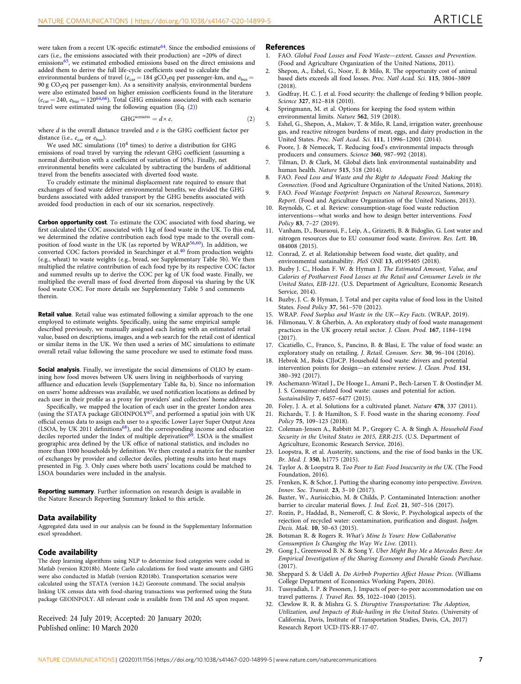<span id="page-6-0"></span>were taken from a recent UK-specific estimate<sup>[64](#page-7-0)</sup>. Since the embodied emissions of cars (i.e., the emissions associated with their production) are ≈20% of direct emissions<sup>[65](#page-7-0)</sup>, we estimated embodied emissions based on the direct emissions and added them to derive the full life-cycle coefficients used to calculate the environmental burdens of travel ( $e_\mathrm{car} = 184$  gCO<sub>2</sub>eq per passenger-km, and  $e_\mathrm{bus} =$ 90 g  $CO<sub>2</sub>$ eq per passenger-km). As a sensitivity analysis, environmental burdens were also estimated based on higher emission coefficients found in the literature  $(e_{car} = 240, e_{bus} = 120^{64,66})$  $(e_{car} = 240, e_{bus} = 120^{64,66})$  $(e_{car} = 240, e_{bus} = 120^{64,66})$  $(e_{car} = 240, e_{bus} = 120^{64,66})$  $(e_{car} = 240, e_{bus} = 120^{64,66})$ . Total GHG emissions associated with each scenario travel were estimated using the following equation (Eq. (2))

$$
GHGscenario = d \times e,
$$
 (2)

where  $d$  is the overall distance traveled and  $e$  is the GHG coefficient factor per distance (i.e.,  $e_{\text{car}}$  or  $e_{\text{bus}}$ ).

We used MC simulations (10<sup>4</sup> times) to derive a distribution for GHG emissions of road travel by varying the relevant GHG coefficient (assuming a normal distribution with a coefficient of variation of 10%). Finally, net environmental benefits were calculated by subtracting the burdens of additional travel from the benefits associated with diverted food waste.

To crudely estimate the minimal displacement rate required to ensure that exchanges of food waste deliver environmental benefits, we divided the GHG burdens associated with added transport by the GHG benefits associated with avoided food production in each of our six scenarios, respectively.

Carbon opportunity cost. To estimate the COC associated with food sharing, we first calculated the COC associated with 1 kg of food waste in the UK. To this end, we determined the relative contribution each food type made to the overall composition of food waste in the UK (as reported by WRAP[56,60\)](#page-7-0). In addition, we converted COC factors provided in Searchinger et al.<sup>[40](#page-7-0)</sup> from production weights (e.g., wheat) to waste weights (e.g., bread, see Supplementary Table 5b). We then multiplied the relative contribution of each food type by its respective COC factor and summed results up to derive the COC per kg of UK food waste. Finally, we multiplied the overall mass of food diverted from disposal via sharing by the UK food waste COC. For more details see Supplementary Table 5 and comments therein.

Retail value. Retail value was estimated following a similar approach to the one employed to estimate weights. Specifically, using the same empirical sample described previously, we manually assigned each listing with an estimated retail value, based on descriptions, images, and a web search for the retail cost of identical or similar items in the UK. We then used a series of MC simulations to estimate overall retail value following the same procedure we used to estimate food mass.

**Social analysis**. Finally, we investigate the social dimensions of OLIO by examining how food moves between UK users living in neighborhoods of varying affluence and education levels (Supplementary Table 8a, b). Since no information on users' home addresses was available, we used notification locations as defined by each user in their profile as a proxy for providers' and collectors' home addresses.

Specifically, we mapped the location of each user in the greater London area (using the STATA package GEOINPOLY<sup>67</sup>, and performed a spatial join with UK official census data to assign each user to a specific Lower Layer Super Output Area (LSOA, by UK 2011 definitions<sup>[68](#page-7-0)</sup>), and the corresponding income and education deciles reported under the Index of multiple deprivation<sup>[69](#page-7-0)</sup>. LSOA is the smallest geographic area defined by the UK office of national statistics, and includes no more than 1000 households by definition. We then created a matrix for the number of exchanges by provider and collector deciles, plotting results into heat maps presented in Fig. [3](#page-3-0). Only cases where both users' locations could be matched to LSOA boundaries were included in the analysis.

Reporting summary. Further information on research design is available in the Nature Research Reporting Summary linked to this article.

#### Data availability

Aggregated data used in our analysis can be found in the Supplementary Information excel spreadsheet.

#### Code availability

The deep learning algorithms using NLP to determine food categories were coded in Matlab (version R2018b). Monte Carlo calculations for food waste amounts and GHG were also conducted in Matlab (version R2018b). Transportation scenarios were calculated using the STATA (version 14.2) Georoute command. The social analysis linking UK census data with food-sharing transactions was performed using the Stata package GEOINPOLY. All relevant code is available from TM and AS upon request.

Received: 24 July 2019; Accepted: 20 January 2020; Published online: 10 March 2020

#### References

- 1. FAO. Global Food Losses and Food Waste—extent, Causes and Prevention. (Food and Agriculture Organization of the United Nations, 2011).
- 2. Shepon, A., Eshel, G., Noor, E. & Milo, R. The opportunity cost of animal based diets exceeds all food losses. Proc. Natl Acad. Sci. 115, 3804–3809  $(2018)$
- 3. Godfray, H. C. J. et al. Food security: the challenge of feeding 9 billion people. Science 327, 812–818 (2010).
- 4. Springmann, M. et al. Options for keeping the food system within environmental limits. Nature 562, 519 (2018).
- 5. Eshel, G., Shepon, A., Makov, T. & Milo, R. Land, irrigation water, greenhouse gas, and reactive nitrogen burdens of meat, eggs, and dairy production in the United States. Proc. Natl Acad. Sci. 111, 11996–12001 (2014).
- 6. Poore, J. & Nemecek, T. Reducing food's environmental impacts through producers and consumers. Science 360, 987–992 (2018).
- 7. Tilman, D. & Clark, M. Global diets link environmental sustainability and human health. Nature 515, 518 (2014).
- FAO. Food Loss and Waste and the Right to Adequate Food: Making the Connection. (Food and Agriculture Organization of the United Nations, 2018).
- 9. FAO. Food Wastage Footprint: Impacts on Natural Resources, Summary Report. (Food and Agriculture Organization of the United Nations, 2013).
- 10. Reynolds, C. et al. Review: consumption-stage food waste reduction interventions—what works and how to design better interventions. Food Policy 83, 7–27 (2019).
- 11. Vanham, D., Bouraoui, F., Leip, A., Grizzetti, B. & Bidoglio, G. Lost water and nitrogen resources due to EU consumer food waste. Environ. Res. Lett. 10, 084008 (2015).
- 12. Conrad, Z. et al. Relationship between food waste, diet quality, and environmental sustainability. PloS ONE 13, e0195405 (2018).
- Buzby J. C., Hodan F. W. & Hyman J. The Estimated Amount, Value, and Calories of Postharvest Food Losses at the Retail and Consumer Levels in the United States, EIB-121. (U.S. Department of Agriculture, Economic Research Service, 2014).
- 14. Buzby, J. C. & Hyman, J. Total and per capita value of food loss in the United States. Food Policy 37, 561–570 (2012).
- 15. WRAP. Food Surplus and Waste in the UK—Key Facts. (WRAP, 2019).
- 16. Filimonau, V. & Gherbin, A. An exploratory study of food waste management practices in the UK grocery retail sector. J. Clean. Prod. 167, 1184–1194 (2017).
- 17. Cicatiello, C., Franco, S., Pancino, B. & Blasi, E. The value of food waste: an exploratory study on retailing. J. Retail. Consum. Serv. 30, 96–104 (2016).
- 18. Hebrok M., Boks CJJoCP. Household food waste: drivers and potential intervention points for design—an extensive review. J. Clean. Prod. 151, 380–392 (2017).
- 19. Aschemann-Witzel J., De Hooge I., Amani P., Bech-Larsen T. & Oostindjer M. J. S. Consumer-related food waste: causes and potential for action. Sustainability 7, 6457–6477 (2015).
- 20. Foley, J. A. et al. Solutions for a cultivated planet. Nature 478, 337 (2011).
- Richards, T. J. & Hamilton, S. F. Food waste in the sharing economy. Food Policy 75, 109–123 (2018).
- 22. Coleman-Jensen A., Rabbitt M. P., Gregory C. A. & Singh A. Household Food Security in the United States in 2015, ERR-215. (U.S. Department of Agriculture, Economic Research Service, 2016).
- 23. Loopstra, R. et al. Austerity, sanctions, and the rise of food banks in the UK. Br. Med. J. 350, h1775 (2015).
- 24. Taylor A. & Loopstra R. Too Poor to Eat: Food Insecurity in the UK. (The Food Foundation, 2016).
- 25. Frenken, K. & Schor, J. Putting the sharing economy into perspective. Environ. Innov. Soc. Transit. 23, 3–10 (2017).
- 26. Baxter, W., Aurisicchio, M. & Childs, P. Contaminated Interaction: another barrier to circular material flows. J. Ind. Ecol. 21, 507–516 (2017).
- 27. Rozin, P., Haddad, B., Nemeroff, C. & Slovic, P. Psychological aspects of the rejection of recycled water: contamination, purification and disgust. Judgm. Decis. Mak. 10, 50–63 (2015).
- 28. Botsman R. & Rogers R. What's Mine Is Yours: How Collaborative Consumption Is Changing the Way We Live. (2011).
- 29. Gong J., Greenwood B. N. & Song Y. Uber Might Buy Me a Mercedes Benz: An Empirical Investigation of the Sharing Economy and Durable Goods Purchase. (2017).
- 30. Sheppard S. & Udell A. Do Airbnb Properties Affect House Prices. (Williams College Department of Economics Working Papers, 2016).
- 31. Tussyadiah, I. P. & Pesonen, J. Impacts of peer-to-peer accommodation use on travel patterns. J. Travel Res. 55, 1022–1040 (2015).
- 32. Clewlow R. R. & Mishra G. S. Disruptive Transportation: The Adoption, Utilization, and Impacts of Ride-hailing in the United States. (University of California, Davis, Institute of Transportation Studies, Davis, CA, 2017) Research Report UCD-ITS-RR-17-07.